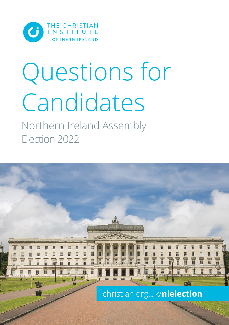

# Questions for Candidates

Northern Ireland Assembly Election 2022

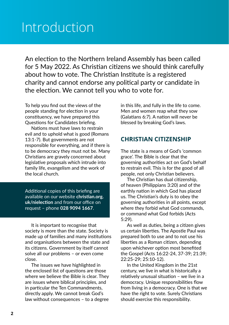# Introduction

An election to the Northern Ireland Assembly has been called for 5 May 2022. As Christian citizens we should think carefully about how to vote. The Christian Institute is a registered charity and cannot endorse any political party or candidate in the election. We cannot tell you who to vote for.

To help you find out the views of the people standing for election in your constituency, we have prepared this Questions for Candidates briefing.

Nations must have laws to restrain evil and to uphold what is good (Romans 13:1-7). But governments are not responsible for everything, and if there is to be democracy they must not be. Many Christians are gravely concerned about legislative proposals which intrude into family life, evangelism and the work of the local church.

Additional copies of this briefing are available on our website **christian.org. uk/nielection** and from our office on request – phone **028 9094 1667**.

It is important to recognise that society is more than the state. Society is made up of families and many institutions and organisations between the state and its citizens. Government by itself cannot solve all our problems – or even come close.

The issues we have highlighted in the enclosed list of questions are those where we believe the Bible is clear. They are issues where biblical principles, and in particular the Ten Commandments, directly apply. We cannot break God's law without consequences – to a degree in this life, and fully in the life to come. Men and women reap what they sow (Galatians 6:7). A nation will never be blessed by breaking God's laws.

### **CHRISTIAN CITIZENSHIP**

The state is a means of God's 'common grace'. The Bible is clear that the governing authorities act on God's behalf to restrain evil. This is for the good of all people, not only Christian believers.

The Christian has dual citizenship, of heaven (Philippians 3:20) and of the earthly nation in which God has placed us. The Christian's duty is to obey the governing authorities in all points, except where they forbid what God commands, or command what God forbids (Acts 5:29).

As well as duties, being a citizen gives us certain liberties. The Apostle Paul was prepared both to use and to not use his liberties as a Roman citizen, depending upon whichever option most benefited the Gospel (Acts 16:22-24, 37-39; 21:39; 22:25-29; 25:10-12).

In the United Kingdom in the 21st century, we live in what is historically a relatively unusual situation – we live in a democracy. Unique responsibilities flow from living in a democracy. One is that we have the right to vote. Surely Christians should exercise this responsibility.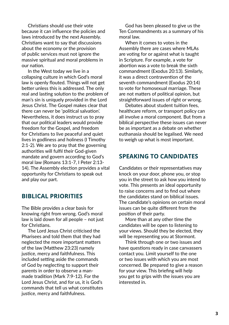Christians should use their vote because it can influence the policies and laws introduced by the next Assembly. Christians want to say that discussions about the economy or the provision of public services must not ignore the massive spiritual and moral problems in our nation.

In the West today we live in a collapsing culture in which God's moral law is openly flouted. Things will not get better unless this is addressed. The only real and lasting solution to the problem of man's sin is uniquely provided in the Lord Jesus Christ. The Gospel makes clear that there can never be 'political salvation'. Nevertheless, it does instruct us to pray that our political leaders would provide freedom for the Gospel, and freedom for Christians to live peaceful and quiet lives in godliness and holiness (I Timothy 2:1-2). We are to pray that the governing authorities will fulfil their God-given mandate and govern according to God's moral law (Romans 13:1-7, I Peter 2:13- 14). The Assembly election provides a vital opportunity for Christians to speak out and play our part.

### **BIBLICAL PRIORITIES**

The Bible provides a clear basis for knowing right from wrong. God's moral law is laid down for all people – not just for Christians.

The Lord Jesus Christ criticised the Pharisees and told them that they had neglected the more important matters of the law (Matthew 23:23) namely justice, mercy and faithfulness. This included setting aside the commands of God by neglecting to support their parents in order to observe a manmade tradition (Mark 7:9-12). For the Lord Jesus Christ, and for us, it is God's commands that tell us what constitutes justice, mercy and faithfulness.

God has been pleased to give us the Ten Commandments as a summary of his moral law.

When it comes to votes in the Assembly there are cases where MLAs are voting for or against what is taught in Scripture. For example, a vote for abortion was a vote to break the sixth commandment (Exodus 20:13). Similarly, it was a direct contravention of the seventh commandment (Exodus 20:14) to vote for homosexual marriage. These are not matters of political opinion, but straightforward issues of right or wrong.

Debates about student tuition fees, healthcare reform, or transport policy can all involve a moral component. But from a biblical perspective these issues can never be as important as a debate on whether euthanasia should be legalised. We need to weigh up what is most important.

### **SPEAKING TO CANDIDATES**

Candidates or their representatives may knock on your door, phone you, or stop you in the street to ask how you intend to vote. This presents an ideal opportunity to raise concerns and to find out where the candidates stand on biblical issues. The candidate's opinions on certain moral issues can be quite different from the position of their party.

More than at any other time the candidates will be open to listening to your views. Should they be elected, they will be representing you at Stormont.

Think through one or two issues and have questions ready in case canvassers contact you. Limit yourself to the one or two issues with which you are most concerned. Be prepared to give a reason for your view. This briefing will help you get to grips with the issues you are interested in.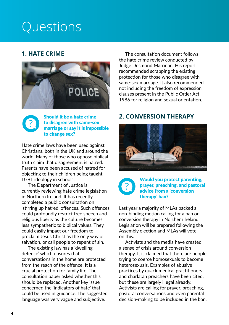# **Questions**

# **1. HATE CRIME**





Should it be a hate crime to disagree with same-sex marriage or say it is impossible to change sex?

Hate crime laws have been used against Christians, both in the UK and around the world. Many of those who oppose biblical truth claim that disagreement is hatred. Parents have been accused of hatred for objecting to their children being taught LGBT ideology in schools.

The Department of Justice is currently reviewing hate crime legislation in Northern Ireland. It has recently completed a public consultation on 'stirring up hatred' offences. Such offences could profoundly restrict free speech and religious liberty as the culture becomes less sympathetic to biblical values. They could easily impact our freedom to proclaim Jesus Christ as the only way of salvation, or call people to repent of sin.

The existing law has a 'dwelling defence' which ensures that conversations in the home are protected from the reach of the offence. It is a crucial protection for family life. The consultation paper asked whether this should be replaced. Another key issue concerned the 'indicators of hate' that could be used in guidance. The suggested language was very vague and subjective.

The consultation document follows the hate crime review conducted by Judge Desmond Marrinan. His report recommended scrapping the existing protection for those who disagree with same-sex marriage. It also recommended not including the freedom of expression clauses present in the Public Order Act 1986 for religion and sexual orientation.

# **2. CONVERSION THERAPY**





Would you protect parenting, prayer, preaching, and pastoral advice from a 'conversion therapy' ban?

Last year a majority of MLAs backed a non-binding motion calling for a ban on conversion therapy in Northern Ireland. Legislation will be prepared following the Assembly election and MLAs will vote on this.

Activists and the media have created a sense of crisis around conversion therapy. It is claimed that there are people trying to coerce homosexuals to become heterosexuals. Examples of abusive practices by quack medical practitioners and charlatan preachers have been cited, but these are largely illegal already. Activists are calling for prayer, preaching, pastoral conversations and even parental decision-making to be included in the ban.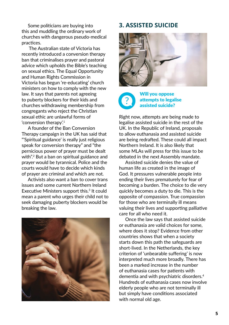Some politicians are buying into this and muddling the ordinary work of churches with dangerous pseudo-medical practices.

 The Australian state of Victoria has recently introduced a conversion therapy ban that criminalises prayer and pastoral advice which upholds the Bible's teaching on sexual ethics. The Equal Opportunity and Human Rights Commission in Victoria has begun 're-educating' church ministers on how to comply with the new law. It says that parents not agreeing to puberty blockers for their kids and churches withdrawing membership from congregants who reject the Christian sexual ethic are unlawful forms of 'conversion therapy'.<sup>1</sup>

A founder of the Ban Conversion Therapy campaign in the UK has said that "'Spiritual guidance' is really just religious speak for conversion therapy" and "the pernicious power of prayer must be dealt with".2 But a ban on spiritual guidance and prayer would be tyrannical. Police and the courts would have to decide which kinds of prayer are criminal and which are not.

Activists also want a ban to cover trans issues and some current Northern Ireland Executive Ministers support this.<sup>3</sup> It could mean a parent who urges their child not to seek damaging puberty blockers would be breaking the law.



# **3. ASSISTED SUICIDE**



#### Will you oppose attempts to legalise assisted suicide? ?

Right now, attempts are being made to legalise assisted suicide in the rest of the UK. In the Republic of Ireland, proposals to allow euthanasia and assisted suicide are being redrafted. These could all impact Northern Ireland. It is also likely that some MLAs will press for this issue to be debated in the next Assembly mandate.

Assisted suicide denies the value of human life as created in the image of God. It pressures vulnerable people into ending their lives prematurely for fear of becoming a burden. The choice to die very quickly becomes a duty to die. This is the opposite of compassion. True compassion for those who are terminally ill means valuing their lives and supporting palliative care for all who need it.

Once the law says that assisted suicide or euthanasia are valid choices for some, where does it stop? Evidence from other countries shows that when a society starts down this path the safeguards are short-lived. In the Netherlands, the key criterion of 'unbearable suffering' is now interpreted much more broadly. There has been a marked increase in the number of euthanasia cases for patients with dementia and with psychiatric disorders.4 Hundreds of euthanasia cases now involve elderly people who are not terminally ill but simply have conditions associated with normal old age.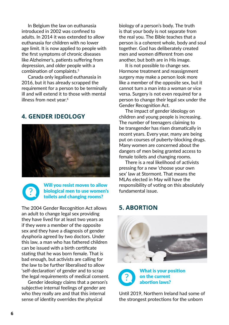In Belgium the law on euthanasia introduced in 2002 was confined to adults. In 2014 it was extended to allow euthanasia for children with no lower age limit. It is now applied to people with the first symptoms of chronic diseases like Alzheimer's, patients suffering from depression, and older people with a combination of complaints.5

Canada only legalised euthanasia in 2016, but it has already scrapped the requirement for a person to be terminally ill and will extend it to those with mental illness from next year.<sup>6</sup>

# **4. GENDER IDEOLOGY**





#### Will you resist moves to allow biological men to use women's toilets and changing rooms?

The 2004 Gender Recognition Act allows an adult to change legal sex providing they have lived for at least two years as if they were a member of the opposite sex and they have a diagnosis of gender dysphoria agreed by two doctors. Under this law, a man who has fathered children can be issued with a birth certificate stating that he was born female. That is bad enough, but activists are calling for the law to be further liberalised to allow 'self-declaration' of gender and to scrap the legal requirements of medical consent.

Gender ideology claims that a person's subjective internal feelings of gender are who they really are and that this internal sense of identity overrides the physical

biology of a person's body. The truth is that your body is not separate from the real you. The Bible teaches that a person is a coherent whole, body and soul together. God has deliberately created men and women different from one another, but both are in His image.

It is not possible to change sex. Hormone treatment and reassignment surgery may make a person look more like a member of the opposite sex, but it cannot turn a man into a woman or vice versa. Surgery is not even required for a person to change their legal sex under the Gender Recognition Act.

The impact of gender ideology on children and young people is increasing. The number of teenagers claiming to be transgender has risen dramatically in recent years. Every year, many are being put on courses of puberty-blocking drugs. Many women are concerned about the dangers of men being granted access to female toilets and changing rooms.

There is a real likelihood of activists pressing for a new 'choose your own sex' law at Stormont. That means the MLAs elected in May will have the responsibility of voting on this absolutely fundamental issue.

## **5. ABORTION**





Until 2019, Northern Ireland had some of the strongest protections for the unborn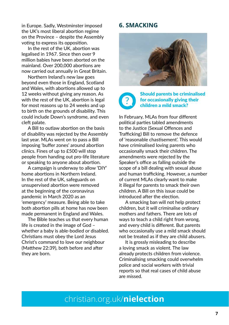in Europe. Sadly, Westminster imposed the UK's most liberal abortion regime on the Province – despite the Assembly voting to express its opposition.

In the rest of the UK, abortion was legalised in 1967. Since then over 9 million babies have been aborted on the mainland. Over 200,000 abortions are now carried out annually in Great Britain.

Northern Ireland's new law goes beyond even those in England, Scotland and Wales, with abortions allowed up to 12 weeks without giving any reason. As with the rest of the UK, abortion is legal for most reasons up to 24 weeks and up to birth on the grounds of disability. This could include Down's syndrome, and even cleft palate.

A Bill to outlaw abortion on the basis of disability was rejected by the Assembly last year. MLAs went on to pass a Bill imposing 'buffer zones' around abortion clinics. Fines of up to £500 will stop people from handing out pro-life literature or speaking to anyone about abortion.

A campaign is underway to allow 'DIY' home abortions in Northern Ireland. In the rest of the UK, safeguards on unsupervised abortion were removed at the beginning of the coronavirus pandemic in March 2020 as an 'emergency' measure. Being able to take both abortion pills at home has now been made permanent in England and Wales.

The Bible teaches us that every human life is created in the image of God – whether a baby is able-bodied or disabled. Christians must obey the Lord Jesus Christ's command to love our neighbour (Matthew 22:39), both before and after they are born.

# **6. SMACKING**



#### Should parents be criminalised for occasionally giving their children a mild smack? ?

In February, MLAs from four different political parties tabled amendments to the Justice (Sexual Offences and Trafficking) Bill to remove the defence of 'reasonable chastisement'. This would have criminalised loving parents who occasionally smack their children. The amendments were rejected by the Speaker's office as falling outside the scope of a bill dealing with sexual abuse and human trafficking. However, a number of current MLAs clearly want to make it illegal for parents to smack their own children. A Bill on this issue could be introduced after the election.

A smacking ban will not help protect children, but it will criminalise ordinary mothers and fathers. There are lots of ways to teach a child right from wrong, and every child is different. But parents who occasionally use a mild smack should not be treated as if they are child abusers.

It is grossly misleading to describe a loving smack as violent. The law already protects children from violence. Criminalising smacking could overwhelm police and social workers with trivial reports so that real cases of child abuse are missed.

# christian.org.uk/**nielection**